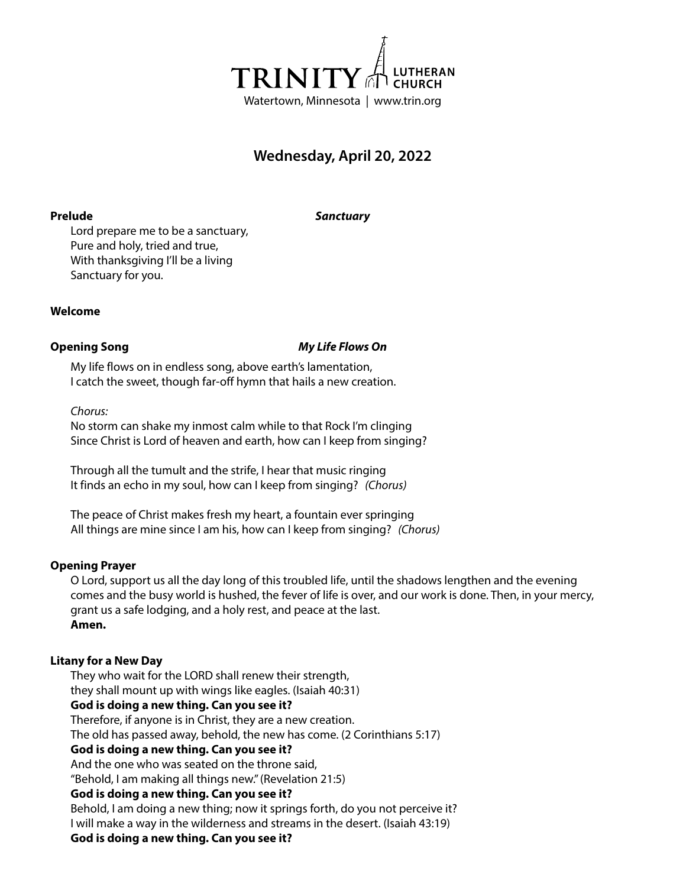

# **Wednesday, April 20, 2022**

**Prelude** *Sanctuary*

Lord prepare me to be a sanctuary, Pure and holy, tried and true, With thanksgiving I'll be a living Sanctuary for you.

# **Welcome**

# **Opening Song** *My Life Flows On*

My life flows on in endless song, above earth's lamentation, I catch the sweet, though far-off hymn that hails a new creation.

*Chorus:*

No storm can shake my inmost calm while to that Rock I'm clinging Since Christ is Lord of heaven and earth, how can I keep from singing?

Through all the tumult and the strife, I hear that music ringing It finds an echo in my soul, how can I keep from singing? *(Chorus)*

The peace of Christ makes fresh my heart, a fountain ever springing All things are mine since I am his, how can I keep from singing? *(Chorus)*

# **Opening Prayer**

O Lord, support us all the day long of this troubled life, until the shadows lengthen and the evening comes and the busy world is hushed, the fever of life is over, and our work is done. Then, in your mercy, grant us a safe lodging, and a holy rest, and peace at the last. **Amen.**

# **Litany for a New Day**

They who wait for the LORD shall renew their strength, they shall mount up with wings like eagles. (Isaiah 40:31) **God is doing a new thing. Can you see it?** Therefore, if anyone is in Christ, they are a new creation. The old has passed away, behold, the new has come. (2 Corinthians 5:17) **God is doing a new thing. Can you see it?** And the one who was seated on the throne said, "Behold, I am making all things new." (Revelation 21:5) **God is doing a new thing. Can you see it?** Behold, I am doing a new thing; now it springs forth, do you not perceive it? I will make a way in the wilderness and streams in the desert. (Isaiah 43:19) **God is doing a new thing. Can you see it?**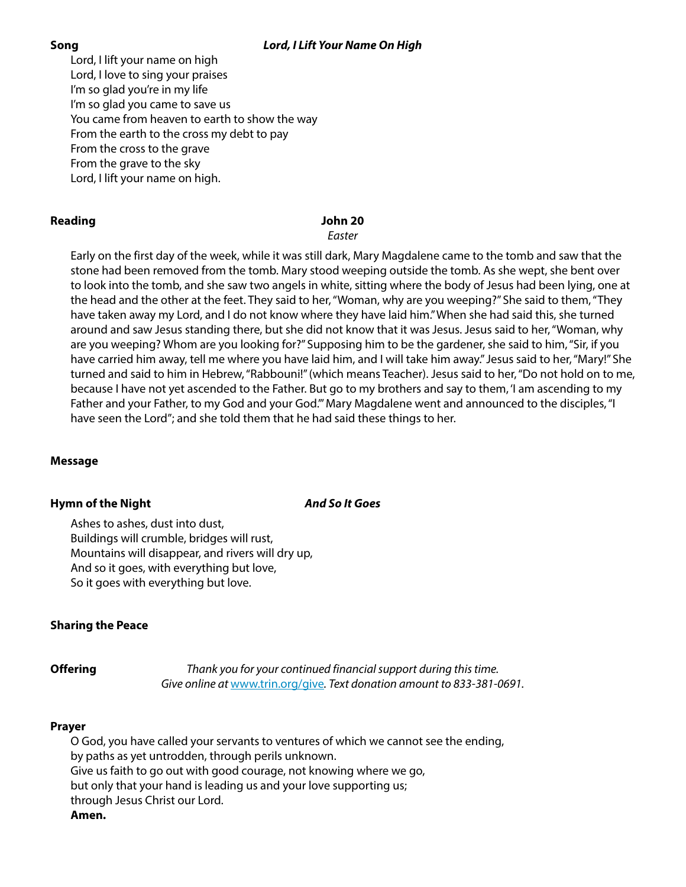# **Song** *Lord, I Lift Your Name On High*

Lord, I lift your name on high Lord, I love to sing your praises I'm so glad you're in my life I'm so glad you came to save us You came from heaven to earth to show the way From the earth to the cross my debt to pay From the cross to the grave From the grave to the sky Lord, I lift your name on high.

# **Reading John 20**

*Easter*

Early on the first day of the week, while it was still dark, Mary Magdalene came to the tomb and saw that the stone had been removed from the tomb. Mary stood weeping outside the tomb. As she wept, she bent over to look into the tomb, and she saw two angels in white, sitting where the body of Jesus had been lying, one at the head and the other at the feet. They said to her, "Woman, why are you weeping?" She said to them, "They have taken away my Lord, and I do not know where they have laid him." When she had said this, she turned around and saw Jesus standing there, but she did not know that it was Jesus. Jesus said to her, "Woman, why are you weeping? Whom are you looking for?" Supposing him to be the gardener, she said to him, "Sir, if you have carried him away, tell me where you have laid him, and I will take him away." Jesus said to her, "Mary!" She turned and said to him in Hebrew, "Rabbouni!" (which means Teacher). Jesus said to her, "Do not hold on to me, because I have not yet ascended to the Father. But go to my brothers and say to them, 'I am ascending to my Father and your Father, to my God and your God.'" Mary Magdalene went and announced to the disciples, "I have seen the Lord"; and she told them that he had said these things to her.

# **Message**

# **Hymn of the Night** *And So It Goes*

Ashes to ashes, dust into dust, Buildings will crumble, bridges will rust, Mountains will disappear, and rivers will dry up, And so it goes, with everything but love, So it goes with everything but love.

# **Sharing the Peace**

**Offering** *Thank you for your continued financial support during this time. Give online at* www.trin.org/give*. Text donation amount to 833-381-0691.*

# **Prayer**

O God, you have called your servants to ventures of which we cannot see the ending, by paths as yet untrodden, through perils unknown. Give us faith to go out with good courage, not knowing where we go, but only that your hand is leading us and your love supporting us; through Jesus Christ our Lord. **Amen.**